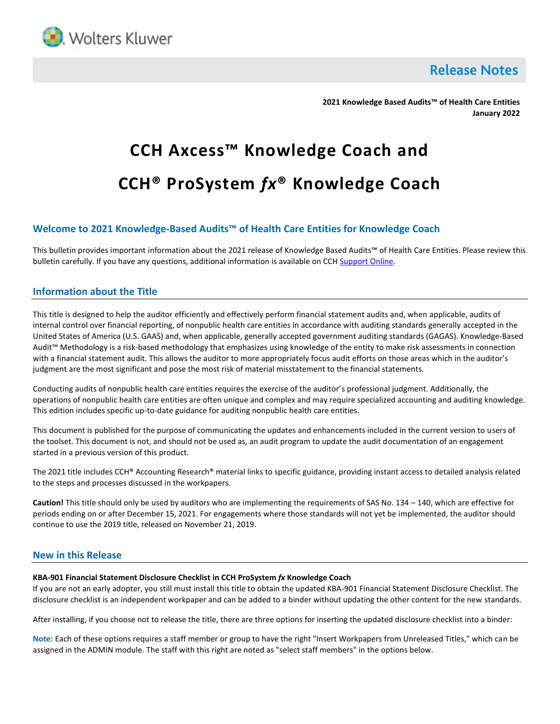

**Release Notes** 

**2021 Knowledge Based Audits™ of Health Care Entities January 2022**

# **CCH Axcess™ Knowledge Coach and CCH® ProSystem** *fx***® Knowledge Coach**

# **Welcome to 2021 Knowledge-Based Audits™ of Health Care Entities for Knowledge Coach**

This bulletin provides important information about the 2021 release of Knowledge Based Audits™ of Health Care Entities. Please review this bulletin carefully. If you have any questions, additional information is available on CC[H Support Online.](http://support.cch.com/productsupport/)

## **Information about the Title**

This title is designed to help the auditor efficiently and effectively perform financial statement audits and, when applicable, audits of internal control over financial reporting, of nonpublic health care entities in accordance with auditing standards generally accepted in the United States of America (U.S. GAAS) and, when applicable, generally accepted government auditing standards (GAGAS). Knowledge-Based Audit™ Methodology is a risk-based methodology that emphasizes using knowledge of the entity to make risk assessments in connection with a financial statement audit. This allows the auditor to more appropriately focus audit efforts on those areas which in the auditor's judgment are the most significant and pose the most risk of material misstatement to the financial statements.

Conducting audits of nonpublic health care entities requires the exercise of the auditor's professional judgment. Additionally, the operations of nonpublic health care entities are often unique and complex and may require specialized accounting and auditing knowledge. This edition includes specific up-to-date guidance for auditing nonpublic health care entities.

This document is published for the purpose of communicating the updates and enhancements included in the current version to users of the toolset. This document is not, and should not be used as, an audit program to update the audit documentation of an engagement started in a previous version of this product.

The 2021 title includes CCH® Accounting Research® material links to specific guidance, providing instant access to detailed analysis related to the steps and processes discussed in the workpapers.

**Caution!** This title should only be used by auditors who are implementing the requirements of SAS No. 134 – 140, which are effective for periods ending on or after December 15, 2021. For engagements where those standards will not yet be implemented, the auditor should continue to use the 2019 title, released on November 21, 2019.

## **New in this Release**

### **KBA-901 Financial Statement Disclosure Checklist in CCH ProSystem** *fx* **Knowledge Coach**

If you are not an early adopter, you still must install this title to obtain the updated KBA-901 Financial Statement Disclosure Checklist. The disclosure checklist is an independent workpaper and can be added to a binder without updating the other content for the new standards.

After installing, if you choose not to release the title, there are three options for inserting the updated disclosure checklist into a binder:

**Note:** Each of these options requires a staff member or group to have the right "Insert Workpapers from Unreleased Titles," which can be assigned in the ADMIN module. The staff with this right are noted as "select staff members" in the options below.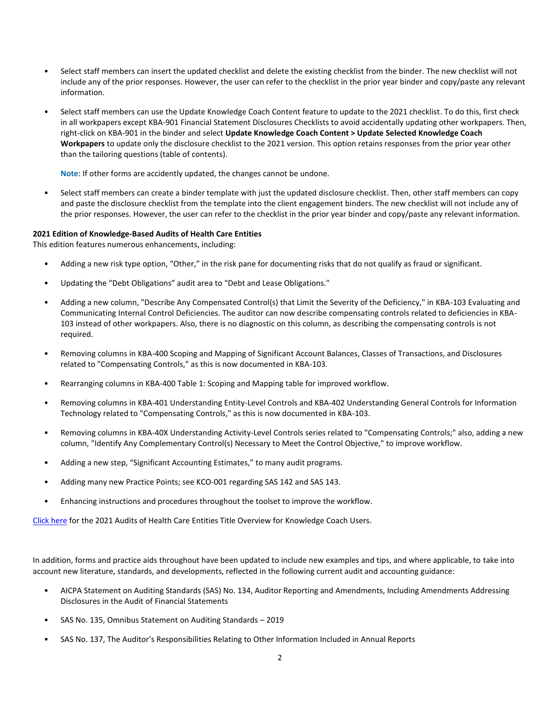- Select staff members can insert the updated checklist and delete the existing checklist from the binder. The new checklist will not include any of the prior responses. However, the user can refer to the checklist in the prior year binder and copy/paste any relevant information.
- Select staff members can use the Update Knowledge Coach Content feature to update to the 2021 checklist. To do this, first check in all workpapers except KBA-901 Financial Statement Disclosures Checklists to avoid accidentally updating other workpapers. Then, right-click on KBA-901 in the binder and select **Update Knowledge Coach Content > Update Selected Knowledge Coach Workpapers** to update only the disclosure checklist to the 2021 version. This option retains responses from the prior year other than the tailoring questions (table of contents).

**Note**: If other forms are accidently updated, the changes cannot be undone.

• Select staff members can create a binder template with just the updated disclosure checklist. Then, other staff members can copy and paste the disclosure checklist from the template into the client engagement binders. The new checklist will not include any of the prior responses. However, the user can refer to the checklist in the prior year binder and copy/paste any relevant information.

## **2021 Edition of Knowledge-Based Audits of Health Care Entities**

This edition features numerous enhancements, including:

- Adding a new risk type option, "Other," in the risk pane for documenting risks that do not qualify as fraud or significant.
- Updating the "Debt Obligations" audit area to "Debt and Lease Obligations."
- Adding a new column, "Describe Any Compensated Control(s) that Limit the Severity of the Deficiency," in KBA-103 Evaluating and Communicating Internal Control Deficiencies. The auditor can now describe compensating controls related to deficiencies in KBA-103 instead of other workpapers. Also, there is no diagnostic on this column, as describing the compensating controls is not required.
- Removing columns in KBA-400 Scoping and Mapping of Significant Account Balances, Classes of Transactions, and Disclosures related to "Compensating Controls," as this is now documented in KBA-103.
- Rearranging columns in KBA-400 Table 1: Scoping and Mapping table for improved workflow.
- Removing columns in KBA-401 Understanding Entity-Level Controls and KBA-402 Understanding General Controls for Information Technology related to "Compensating Controls," as this is now documented in KBA-103.
- Removing columns in KBA-40X Understanding Activity-Level Controls series related to "Compensating Controls;" also, adding a new column, "Identify Any Complementary Control(s) Necessary to Meet the Control Objective," to improve workflow.
- Adding a new step, "Significant Accounting Estimates," to many audit programs.
- Adding many new Practice Points; see KCO-001 regarding SAS 142 and SAS 143.
- Enhancing instructions and procedures throughout the toolset to improve the workflow.

[Click here](https://support.cch.com/updates/knowledgecoach/pdf/guides_tab/2021%20Health%20Care%20Entities%20Title%20Overview%20for%20Knowledge%20Coach%20Users.pdf) for the 2021 Audits of Health Care Entities Title Overview for Knowledge Coach Users.

In addition, forms and practice aids throughout have been updated to include new examples and tips, and where applicable, to take into account new literature, standards, and developments, reflected in the following current audit and accounting guidance:

- AICPA Statement on Auditing Standards (SAS) No. 134, Auditor Reporting and Amendments, Including Amendments Addressing Disclosures in the Audit of Financial Statements
- SAS No. 135, Omnibus Statement on Auditing Standards 2019
- SAS No. 137, The Auditor's Responsibilities Relating to Other Information Included in Annual Reports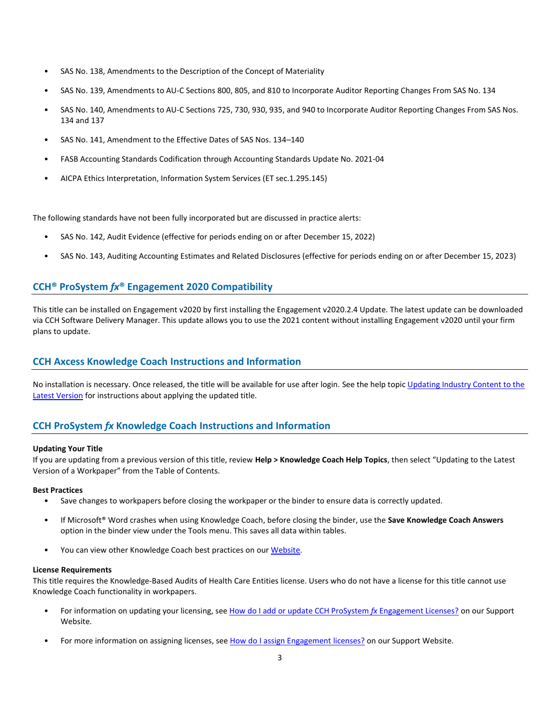- SAS No. 138, Amendments to the Description of the Concept of Materiality
- SAS No. 139, Amendments to AU-C Sections 800, 805, and 810 to Incorporate Auditor Reporting Changes From SAS No. 134
- SAS No. 140, Amendments to AU-C Sections 725, 730, 930, 935, and 940 to Incorporate Auditor Reporting Changes From SAS Nos. 134 and 137
- SAS No. 141, Amendment to the Effective Dates of SAS Nos. 134–140
- FASB Accounting Standards Codification through Accounting Standards Update No. 2021-04
- AICPA Ethics Interpretation, Information System Services (ET sec.1.295.145)

The following standards have not been fully incorporated but are discussed in practice alerts:

- SAS No. 142, Audit Evidence (effective for periods ending on or after December 15, 2022)
- SAS No. 143, Auditing Accounting Estimates and Related Disclosures (effective for periods ending on or after December 15, 2023)

## **CCH® ProSystem** *fx***® Engagement 2020 Compatibility**

This title can be installed on Engagement v2020 by first installing the Engagement v2020.2.4 Update. The latest update can be downloaded via CCH Software Delivery Manager. This update allows you to use the 2021 content without installing Engagement v2020 until your firm plans to update.

## **CCH Axcess Knowledge Coach Instructions and Information**

No installation is necessary. Once released, the title will be available for use after login. See the help topic Updating Industry Content to the [Latest Version](https://knowledgecoach.cchaxcess.com/Knowledge-Coach/Content/Engagements/Eng-Update-content.htm) for instructions about applying the updated title.

## **CCH ProSystem** *fx* **Knowledge Coach Instructions and Information**

#### **Updating Your Title**

If you are updating from a previous version of this title, review **Help > Knowledge Coach Help Topics**, then select "Updating to the Latest Version of a Workpaper" from the Table of Contents.

#### **Best Practices**

- Save changes to workpapers before closing the workpaper or the binder to ensure data is correctly updated.
- If Microsoft® Word crashes when using Knowledge Coach, before closing the binder, use the **Save Knowledge Coach Answers** option in the binder view under the Tools menu. This saves all data within tables.
- You can view other Knowledge Coach best practices on ou[r Website.](https://support.cch.com/kb/solution/000034942/sw34947)

#### **License Requirements**

This title requires the Knowledge-Based Audits of Health Care Entities license. Users who do not have a license for this title cannot use Knowledge Coach functionality in workpapers.

- For information on updating your licensing, see [How do I add or update CCH ProSystem](https://support.cch.com/kb/solution.aspx/sw3937) *fx* Engagement Licenses? on our Support Website.
- For more information on assigning licenses, see [How do I assign Engagement licenses?](https://support.cch.com/kb/solution.aspx/sw3943) on our Support Website.